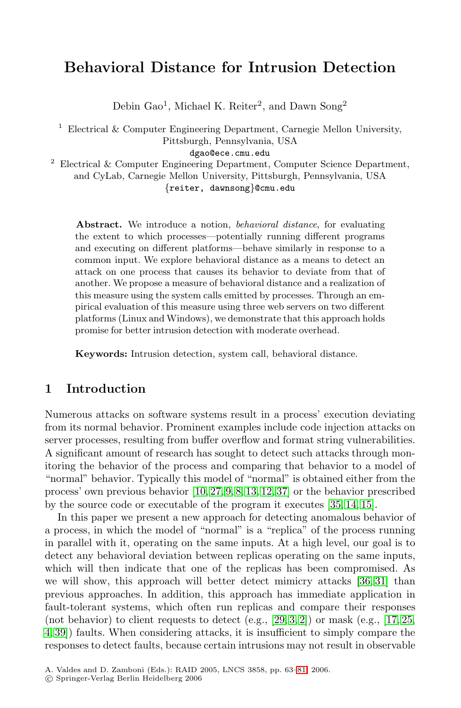# **Behavioral Distance for Intrusion Detection**

Debin Gao<sup>1</sup>, Michael K. Reiter<sup>2</sup>, and Dawn Song<sup>2</sup>

<sup>1</sup> Electrical & Computer Engineering Department, Carnegie Mellon University, Pittsburgh, Pennsylvania, USA dgao@ece.cmu.edu <sup>2</sup> Electrical & Computer Engineering Department, Computer Science Department,

and CyLab, Carnegie Mellon University, Pittsburgh, Pennsylvania, USA {reiter, dawnsong}@cmu.edu

Abstract. We introduce a notion, *behavioral distance*, for evaluating the extent to which processes—potentially running different programs and executing on different platforms—behave similarly in response to a common input. We explore behavioral distance as a means to detect an attack on one process that causes its behavior to deviate from that of another. We propose a measure of behavioral distance and a realization of this measure using the system calls emitted by processes. Through an empirical evaluation of this measure using three web servers on two different platforms (Linux and Windows), we demonstrate that this approach holds promise for better intrusion detection with moderate overhead.

**Keywords:** Intrusion detection, system call, behavioral distance.

# <span id="page-0-0"></span>**1 Introduction**

Numerous attacks on software systems re[sul](#page-18-0)[t in](#page-17-0) [a p](#page-17-1)rocess' execution deviating from its normal behavior. Prominent examples include code injection attacks on server processes, resulting from buffer overflow and format string vulnerabilities. A significant amount of research has sought to detect such attacks through monitoring the behavior of the process and comparing that behavior to a model of "normal" behavior. Typically this model of "normal" is obtained either from the process' own previous behavior [10, 27, 9, 8, 13, 1[2, 3](#page-18-1)[7\] o](#page-18-2)r the behavior prescribed by the source code or executable of the program it executes [35, 14, 15].

In this paper we present a new approach for detecting anomalous behavior of a process, in which the model [of](#page-18-3) ["n](#page-17-2)[or](#page-17-3)mal" is a "replic[a"](#page-17-4) [of t](#page-18-4)he process running in parallel with it, operating on the same inputs. At a high level, our goal is to detect any behavioral deviation between replicas operating on the same inputs, which will then indicate that one of the replicas has been compromised. As we will show, this approach will [bet](#page-17-5)ter detect mimicry attacks [36, 31] than previous approaches. In addition, this approach has immediate application in fault-tolerant systems, which often run replicas and compare their responses (not behavior) to client requests to detect  $(e.g., [29,3,2])$  or mask  $(e.g., [17,25,$ 4, 39]) faults. When considering attacks, it is insufficient to simply compare the responses to detect faults, because certain intrusions may not result in observable

c Springer-Verlag Berlin Heidelberg 2006

A. Valdes and D. Zamboni (Eds.): RAID 2005, LNCS 3858, pp. 63–81, 2006.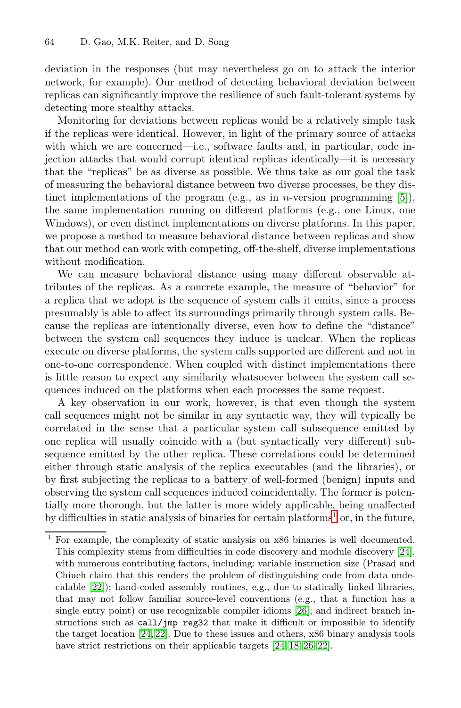deviation in the responses (but may nevertheless go on to attack the interior network, for example). Our method of detecting behavioral deviation between replicas can significantly improve the resilience of such fault-tolerant systems by detecting more stealthy attacks.

Monitoring for deviations between replicas would be a relatively simple task if the replicas were identical. However, in light of the primary source of attacks with which we are concerned—i.e., software faults and, in particular, code injection attacks that would corrupt identical replicas identically—it is necessary that the "replicas" be as diverse as possible. We thus take as our goal the task of measuring the behavioral distance between two diverse processes, be they distinct implementations of the program (e.g., as in *n*-version programming [5]), the same implementation running on different platforms (e.g., one Linux, one Windows), or even distinct implementations on diverse platforms. In this paper, we propose a method to measure behavioral distance between replicas and show that our method can work with competing, off-the-shelf, diverse implementations without modification.

We can measure behavioral distance using many different observable attributes of the replicas. As a concrete example, the measure of "behavior" for a replica that we adopt is the sequence of system calls it emits, since a process presumably is able to affect its surroundings primarily through system calls. Because the replicas are intentionally diverse, even how to define the "distance" between the system call sequences they induce is unclear. When the replicas execute on diverse platforms, the system calls supported are different and not in one-to-one correspondence. When coupled with distinct implementations there is little reason to expect any similarity whatsoever between the system call sequences induced on the platforms when each processes the same request.

<span id="page-1-0"></span>A key observation in our work, however, is that even though the system call sequences might not be similar in any syntactic way, they will typically be correlated in the sense that a particular [sy](#page-1-0)stem call subsequence emitted by one replica will usually coincide with a (but syntactically very different) subsequence emitted by the other replica. These correlatio[ns c](#page-18-5)ould be determined either through static analysis of the replica executables (and the libraries), or by first subjecting the replicas to a battery of well-formed (benign) inputs and observing the system call sequences induced coincidentally. The former is potentially more thorough, but the latter is more widely applicable, being unaffected by difficulties in static analysis of b[inar](#page-18-6)ies for certain platforms<sup>1</sup> or, in the future,

<sup>1</sup> [Fo](#page-18-5)[r e](#page-18-7)xample, the complexity of static analysis on x86 binaries is well documented. This complexity stems from d[iffic](#page-18-5)[ulti](#page-17-6)[es i](#page-18-6)[n co](#page-18-7)de discovery and module discovery [24], with numerous contributing factors, including: variable instruction size (Prasad and Chiueh claim that this renders the problem of distinguishing code from data undecidable [22]); hand-coded assembly routines, e.g., due to statically linked libraries, that may not follow familiar source-level conventions (e.g., that a function has a single entry point) or use recognizable compiler idioms [26]; and indirect branch instructions such as call/jmp reg32 that make it difficult or impossible to identify the target location [24, 22]. Due to these issues and others, x86 binary analysis tools have strict restrictions on their applicable targets  $[24, 18, 26, 22]$ .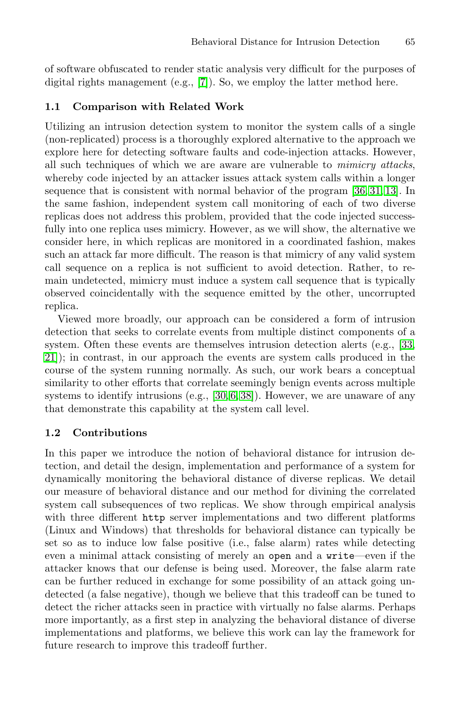of software obfuscated to render static analysis very difficult for the purposes of digital rights management (e.g., [7]). So, we employ the latter method here.

### **1.1 Comparison with Related Work**

Utilizing an intrusion detection system to monitor the system calls of a single (non-replicated) process is a thoroughly explored alternative to the approach we explore here for detecting software faults and code-injection attacks. However, all such techniques of which we are aware are vulnerable to mimicry attacks, whereby code injected by an attacker issues attack system calls within a longer sequence that is consistent with normal behavior of the program [36, 31, 13]. In the same fashion, independent system call monitoring of each of two diverse replicas does not address this problem, provided that the code injected successfully into one replica uses mimicry. However, as we will show, the alternative we consider here, in which replicas are monitored in a coordinated fashion, makes such an attack far more difficult. The reason is that mimi[cry](#page-18-8) of any valid system call sequence on a replica is not sufficient to avoid detection. Rather, to remain undetected, mimicry must induce a system call sequence that is typically observed coincidentally with the sequence emitted by the other, uncorrupted replica.

Viewed more broadly, our approach can be considered a form of intrusion detection that seeks to correlate events from multiple distinct components of a system. Often these events are themselves intrusion detection alerts (e.g., [33, 21]); in contrast, in our approach the events are system calls produced in the course of the system running normally. As such, our work bears a conceptual similarity to other efforts that correlate seemingly benign events across multiple systems to identify intrusions (e.g.,  $[30, 6, 38]$ ). However, we are unaware of any that demonstrate this capability at the system call level.

### **1.2 Contributions**

In this paper we introduce the notion of behavioral distance for intrusion detection, and detail the design, implementation and performance of a system for dynamically monitoring the behavioral distance of diverse replicas. We detail our measure of behavioral distance and our method for divining the correlated system call subsequences of two replicas. We show through empirical analysis with three different **http** server implementations and two different platforms (Linux and Windows) that thresholds for behavioral distance can typically be set so as to induce low false positive (i.e., false alarm) rates while detecting even a minimal attack consisting of merely an open and a write—even if the attacker knows that our defense is being used. Moreover, the false alarm rate can be further reduced in exchange for some possibility of an attack going undetected (a false negative), though we believe that this tradeoff can be tuned to detect the richer attacks seen in practice with virtually no false alarms. Perhaps more importantly, as a first step in analyzing the behavioral distance of diverse implementations and platforms, we believe this work can lay the framework for future research to improve this tradeoff further.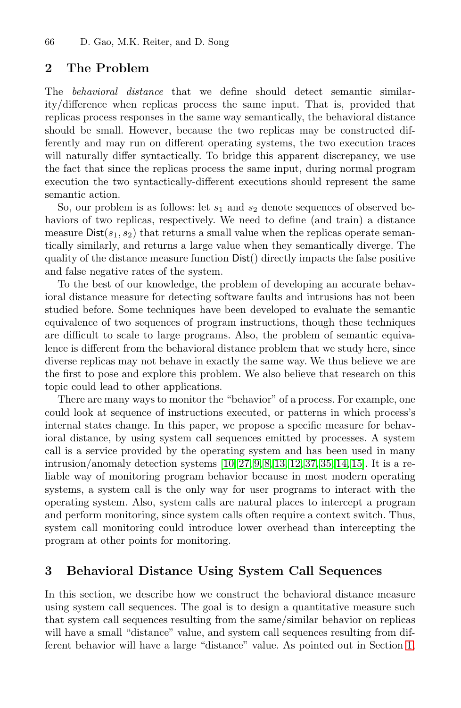# **2 The Problem**

The behavioral distance that we define should detect semantic similarity/difference when replicas process the same input. That is, provided that replicas process responses in the same way semantically, the behavioral distance should be small. However, because the two replicas may be constructed differently and may run on different operating systems, the two execution traces will naturally differ syntactically. To bridge this apparent discrepancy, we use the fact that since the replicas process the same input, during normal program execution the two syntactically-different executions should represent the same semantic action.

So, our problem is as follows: let  $s_1$  and  $s_2$  denote sequences of observed behaviors of two replicas, respectively. We need to define (and train) a distance measure  $Dist(s_1, s_2)$  that returns a small value when the replicas operate semantically similarly, and returns a large value when they semantically diverge. The quality of the distance measure function Dist() directly impacts the false positive and false negative rates of the system.

To the best of our knowledge, the problem of developing an accurate behavioral distance measure for detecting software faults and intrusions has not been studied before. Some techniques have been developed to evaluate the semantic equivalence of two sequences of program instructions, though these techniques are difficult to scale to large programs. Also, the problem of semantic equivalence is different from the behavioral distance problem that we study here, since diverse replicas may not behave in exactly the same way. We thus believe we are the first to pose an[d](#page-17-7) [e](#page-17-7)[xpl](#page-18-9)[or](#page-17-8)[e](#page-17-9) [t](#page-17-9)[his](#page-17-10) [pro](#page-17-11)[ble](#page-18-10)[m.](#page-18-0) [We](#page-17-0) [als](#page-17-1)o believe that research on this topic could lead to other applications.

There are many ways to monitor the "behavior" of a process. For example, one could look at sequence of instructions executed, or patterns in which process's internal states change. In this paper, we propose a specific measure for behavioral distance, by using system call sequences emitted by processes. A system call is a service provided by the operating system and has been used in many intrusion/anomaly detection systems [10, 27, 9, 8, 13, 12, 37, 35, 14, 15]. It is a reliable way of monitoring program behavior because in most modern operating systems, a system call is the only way for user programs to interact with the operating system. Also, system calls are natural places to intercept a program and perform monitoring, since system calls often require a context switch. Thus, system call monitoring could introduce lower overhead than intercepting the program at other points for monitoring.

# **3 Behavioral Distance Using System Call Sequences**

In this section, we describe how we construct the behavioral distance measure using system call sequences. The goal is to design a quantitative measure such that system call sequences resulting from the same/similar behavior on replicas will have a small "distance" value, and system call sequences resulting from different behavior will have a large "distance" value. As pointed out in Section 1,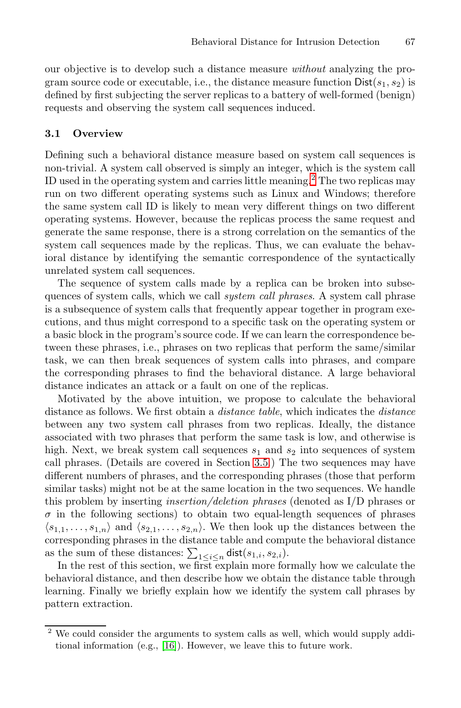our objective is to develop such a distance measure without analyzing the program source code or executable, i.e., t[he](#page-4-0) distance measure function  $Dist(s_1, s_2)$  is defined by first subjecting the server replicas to a battery of well-formed (benign) requests and observing the system call sequences induced.

#### **3.1 Overview**

Defining such a behavioral distance measure based on system call sequences is non-trivial. A system call observed is simply an integer, which is the system call ID used in the operating system and carries little meaning.<sup>2</sup> The two replicas may run on two different operating systems such as Linux and Windows; therefore the same system call ID is likely to mean very different things on two different operating systems. However, because the replicas process the same request and generate the same response, there is a strong correlation on the semantics of the system call sequences made by the replicas. Thus, we can evaluate the behavioral distance by identifying the semantic correspondence of the syntactically unrelated system call sequences.

The sequence of system calls made by a replica can be broken into subsequences of system calls, which we call *system call phrases*. A system call phrase is a subsequence of system calls that frequently appear together in program executions, and thus might correspond to a specific task on the operating system or a basic block in the program's source code. If we can learn the correspondence between these phrases, i.e., phrases on two replicas that perform the same/similar task, we can then break sequences of system calls into phrases, and compare the corresponding phrase[s to](#page-10-0) find the behavioral distance. A large behavioral distance indicates an attack or a fault on one of the replicas.

Motivated by the above intuition, we propose to calculate the behavioral distance as follows. We first obtain a distance table, which indicates the distance between any two system call phrases from two replicas. Ideally, the distance associated with two phrases that perform the same task is low, and otherwise is high. Next, we break system call sequences  $s_1$  and  $s_2$  into sequences of system call phrases. (Details are covered in Section 3.5.) The two sequences may have different numbers of phrases, and the corresponding phrases (those that perform similar tasks) might not be at the same location in the two sequences. We handle this problem by inserting insertion/deletion phrases (denoted as I/D phrases or  $\sigma$  in the following sections) to obtain two equal-length sequences of phrases  $\langle s_{1,1},\ldots,s_{1,n}\rangle$  and  $\langle s_{2,1},\ldots,s_{2,n}\rangle$ . We then look up the distances between the corresponding phrases in the distance table and compute the behavioral distance as the [sum](#page-17-12) of these distances:  $\sum_{1 \leq i \leq n} \text{dist}(s_{1,i}, s_{2,i}).$ 

<span id="page-4-0"></span>In the rest of this section, we first explain more formally how we calculate the behavioral distance, and then describe how we obtain the distance table through learning. Finally we briefly explain how we identify the system call phrases by pattern extraction.

We could consider the arguments to system calls as well, which would supply additional information (e.g., [16]). However, we leave this to future work.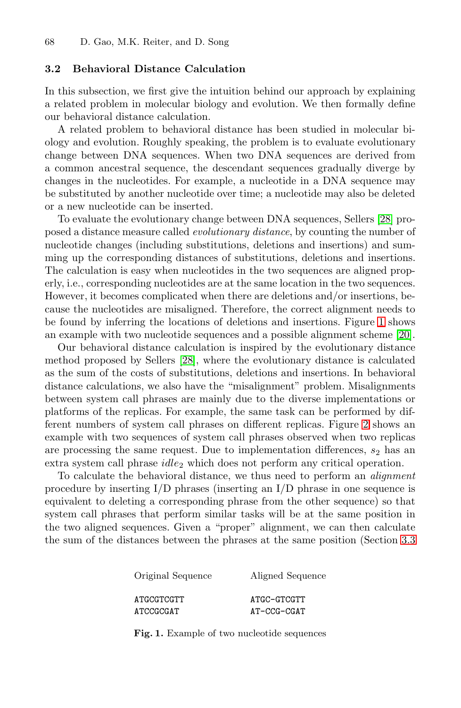### **3.2 Behavioral Distance Calculation**

In this subsection, we first give the intuition behind our approach by explaining a related problem in molecular biology and evolution. We then formally define our behavioral distance calculation.

A related problem to behavioral distance has be[en s](#page-18-11)tudied in molecular biology and evolution. Roughly speaking, the problem is to evaluate evolutionary change between DNA sequences. When two DNA sequences are derived from a common ancestral sequence, the descendant sequences gradually diverge by changes in the nucleotides. For example, a nucleotide in a DNA sequence may be substituted by another nucleotide over time; a nucleotide may also be deleted or a new nucleotide can be inserted.

To evaluate the evolutionary change between DNA sequences, Sellers [28] proposed a distance measure called evolutionary distance[, b](#page-5-0)y counting the number of nucleotide changes (including substitutions, deletions a[nd i](#page-17-13)nsertions) and summing up the corresponding distances of substitutions, deletions and insertions. The calcu[lati](#page-18-11)on is easy when nucleotides in the two sequences are aligned properly, i.e., corresponding nucleotides are at the same location in the two sequences. However, it becomes complicated when there are deletions and/or insertions, because the nucleotides are misaligned. Therefore, the correct alignment needs to be found by inferring the locations of deletions and insertions. Figure 1 shows an example with two nucleotide sequences and a [po](#page-6-0)ssible alignment scheme [20].

Our behavioral distance calculation is inspired by the evolutionary distance method proposed by Sellers [28], where the evolutionary distance is calculated as the sum of the costs of substitutions, deletions and insertions. In behavioral distance calculations, we also have the "misalignment" problem. Misalignments between system call phrases are mainly due to the diverse implementations or platforms of the replicas. For example, the same task can be performed by different numbers of system call phrases on different replicas. Figure 2 shows an example with two sequences of system call phrases observed when two replicas are processing the same request. Due to implementation [diff](#page-7-0)erences,  $s_2$  has an extra system call phrase  $idle_2$  which does not perform any critical operation.

<span id="page-5-0"></span>To calculate the behavioral distance, we thus need to perform an alignment procedure by inserting I/D phrases (inserting an I/D phrase in one sequence is equivalent to deleting a corresponding phrase from the other sequence) so that system call phrases that perform similar tasks will be at the same position in the two aligned sequences. Given a "proper" alignment, we can then calculate the sum of the distances between the phrases at the same position (Section 3.3

| Original Sequence | Aligned Sequence |
|-------------------|------------------|
| ATGCGTCGTT        | ATGC-GTCGTT      |
| ATCCGCGAT         | $AT-CCG-CGAT$    |

**Fig. 1.** Example of two nucleotide sequences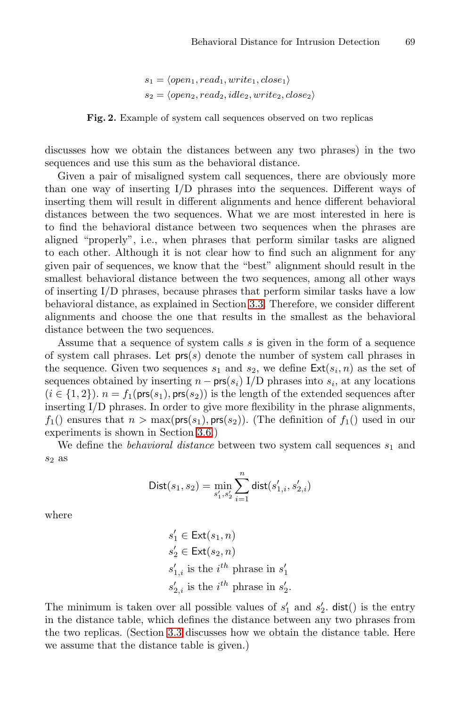$$
s_1 = \langle open_1, read_1, write_1, close_1 \rangle
$$
  

$$
s_2 = \langle open_2, read_2, idle_2, write_2, close_2 \rangle
$$

#### **Fig. 2.** Example of system call sequences observed on two replicas

<span id="page-6-0"></span>discusses how we obtain the distances between any two phrases) in the two sequences and use this sum as the behavioral distance.

Given a pair of misaligned system call sequences, there are obviously more than one way of inserting I/D phrases into the sequences. Different ways of inserting them will result in different alignments and hence different behavioral distances between the t[wo s](#page-7-0)equences. What we are most interested in here is to find the behavioral distance between two sequences when the phrases are aligned "properly", i.e., when phrases that perform similar tasks are aligned to each other. Although it is not clear how to find such an alignment for any given pair of sequences, we know that the "best" alignment should result in the smallest behavioral distance between the two sequences, among all other ways of inserting I/D phrases, because phrases that perform similar tasks have a low behavioral distance, as explained in Section 3.3. Therefore, we consider different alignments and choose the one that results in the smallest as the behavioral distance between the two sequences.

Assume th[at a](#page-11-0) sequence of system calls s is given in the form of a sequence of system call phrases. Let  $prs(s)$  denote the number of system call phrases in the sequence. Given two sequences  $s_1$  and  $s_2$ , we define  $\text{Ext}(s_i, n)$  as the set of sequences obtained by inserting  $n - prs(s_i) I/D$  phrases into  $s_i$ , at any locations  $(i \in \{1,2\})$ .  $n = f_1(\text{prs}(s_1), \text{prs}(s_2))$  is the length of the extended sequences after inserting I/D phrases. In order to give more flexibility in the phrase alignments,  $f_1()$  ensures that  $n > \max(\text{prs}(s_1), \text{prs}(s_2))$ . (The definition of  $f_1()$  used in our experiments is shown in Section 3.6.)

We define the *behavioral distance* between two system call sequences  $s_1$  and  $s_2$  as

$$
\text{Dist}(s_1,s_2) = \min_{s_1',s_2'} \sum_{i=1}^n \text{dist}(s_{1,i}',s_{2,i}')
$$

where

$$
s'_1 \in \text{Ext}(s_1, n)
$$
  
\n
$$
s'_2 \in \text{Ext}(s_2, n)
$$
  
\n
$$
s'_{1,i}
$$
 is the  $i^{th}$  phrase in  $s'_1$   
\n
$$
s'_{2,i}
$$
 is the  $i^{th}$  phrase in  $s'_2$ .

The minimum is taken over all possible values of  $s'_1$  and  $s'_2$ , dist() is the entry in the distance table, which defines the distance between any two phrases from the two replicas. (Section 3.3 discusses how we obtain the distance table. Here we assume that the distance table is given.)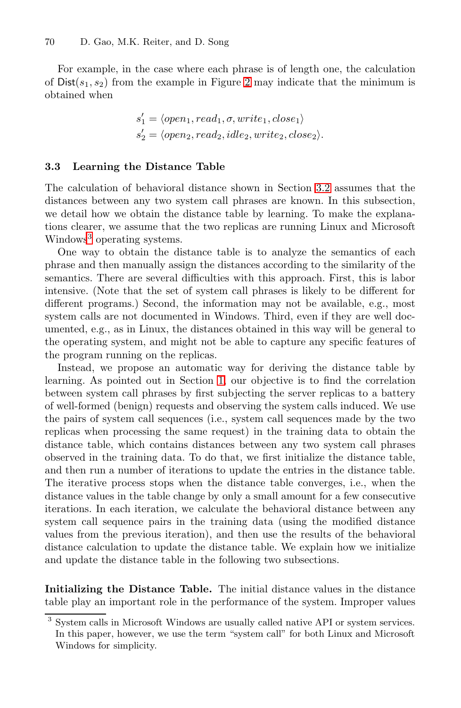<span id="page-7-0"></span>For example, in the case where each phrase is of length one, the calculation of  $Dist(s_1, s_2)$  from the example in Figure 2 may indicate that the minimum is obtained when

$$
s'_1 = \langle open_1, read_1, \sigma, write_1, close_1 \rangle
$$
  

$$
s'_2 = \langle open_2, read_2, idle_2, write_2, close_2 \rangle.
$$

#### **3.3 Learning the Distance Table**

The calculation of behavioral distance shown in Section 3.2 assumes that the distances between any two system call phrases are known. In this subsection, we detail how we obtain the distance table by learning. To make the explanations clearer, we assume that the two replicas are running Linux and Microsoft Windows<sup>3</sup> operating systems.

One way to obtain the distance table is to analyze the semantics of each phrase and then manually assign the distances according to the similarity of the semantics. There are several difficulties with this approach. First, this is labor intensive. (Note t[ha](#page-0-0)t the set of system call phrases is likely to be different for different programs.) Second, the information may not be available, e.g., most system calls are not documented in Windows. Third, even if they are well documented, e.g., as in Linux, the distances obtained in this way will be general to the operating system, and might not be able to capture any specific features of the program running on the replicas.

Instead, we propose an automatic way for deriving the distance table by learning. As pointed out in Section 1, our objective is to find the correlation between system call phrases by first subjecting the server replicas to a battery of well-formed (benign) requests and observing the system calls induced. We use the pairs of system call sequences (i.e., system call sequences made by the two replicas when processing the same request) in the training data to obtain the distance table, which contains distances between any two system call phrases observed in the training data. To do that, we first initialize the distance table, and then run a number of iterations to update the entries in the distance table. The iterative process stops when the distance table converges, i.e., when the distance values in the table change by only a small amount for a few consecutive iterations. In each iteration, we calculate the behavioral distance between any system call sequence pairs in the training data (using the modified distance values from the previous iteration), and then use the results of the behavioral distance calculation to update the distance table. We explain how we initialize and update the distance table in the following two subsections.

**Initializing the Distance Table.** The initial distance values in the distance table play an important role in the performance of the system. Improper values

<sup>3</sup> System calls in Microsoft Windows are usually called native API or system services. In this paper, however, we use the term "system call" for both Linux and Microsoft Windows for simplicity.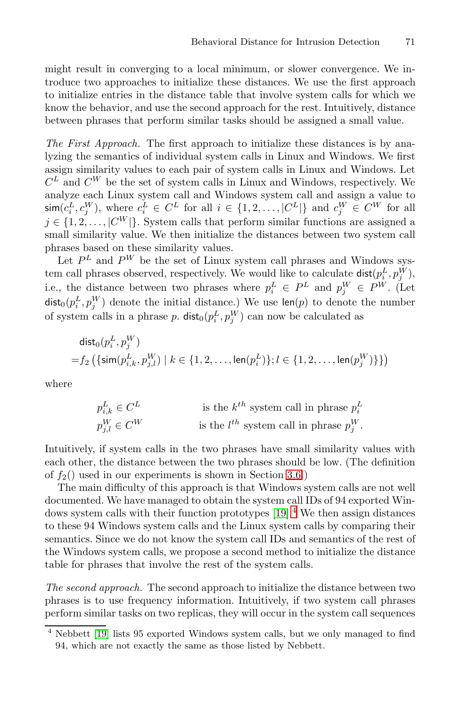might result in converging to a local minimum, or slower convergence. We introduce two approaches to initialize these distances. We use the first approach to initialize entries in the distance table that involve system calls for which we know the behavior, and use the second approach for the rest. Intuitively, distance between phrases that perform similar tasks should be assigned a small value.

The First Approach. The first approach to initialize these distances is by analyzing the semantics of individual system calls in Linux and Windows. We first assign similarity values to each pair of system calls in Linux and Windows. Let  $C^L$  and  $C^W$  be the set of system calls in Linux and Windows, respectively. We analyze each Linux system call and Windows system call and assign a value to  $\mathsf{sim}(c^L_i, c^W_j),$  where  $c^L_i \in C^L$  for all  $i \in \{1, 2, \ldots, |C^L|\}$  and  $c^W_j \in C^W$  for all  $j \in \{1, 2, \ldots, |C^W|\}$ . System calls that perform similar functions are assigned a small similarity value. We then initialize the distances between two system call phrases based on these similarity values.

Let  $P^L$  and  $P^W$  be the set of Linux system call phrases and Windows system call phrases observed, respectively. We would like to calculate  $\textsf{dist}(p_i^L, p_j^W)$ , i.e., the distance between two phrases where  $p_i^L \in P^L$  and  $p_j^W \in P^W$ . (Let  $\mathsf{dist}_0(p_i^L, p_j^W)$  denote the initial distance.) We use  $\mathsf{len}(p)$  to denote the number of system calls in a phrase  $p$ .  $\textsf{dist}_0(p_i^L, p_j^W)$  can now be calculated as

$$
\begin{aligned} &{\sf dist}_0(p_i^L, p_j^W) \\ =&f_2\left(\{\textsf{sim}(p_{i,k}^L, p_{j,l}^W) \mid k \in \{1, 2, \dots, \textsf{len}(p_i^L)\}; l \in \{1, 2, \dots, \textsf{len}(p_j^W)\}\}\right) \end{aligned}
$$

where

$$
p_{i,k}^L \in C^L
$$
 is the  $k^{th}$  system call in phrase  $p_i^L$   
 $p_{j,l}^W \in C^W$  is the  $l^{th}$  system call in phrase  $p_j^W$ .

Intuitively, if system calls in the two phrases have small similarity values with each other, the distance between the two phrases should be low. (The definition of  $f_2$ () used in our experiments is shown in Section 3.6.)

The main difficulty of this approach is that Windows system calls are not well documented. We have managed to obtain the system call IDs of 94 exported Windows system calls with their function prototypes [19].<sup>4</sup> We then assign distances to these 94 Windows system calls and the Linux system calls by comparing their semantics. Since we do not know the system call IDs and semantics of the rest of the Windows system calls, we propose a second method to initialize the distance table for phrases that involve the rest of the system calls.

<span id="page-8-0"></span>The second approach. The second approach to initialize the distance between two phrases is to use frequency information. Intuitively, if two system call phrases perform similar tasks on two replicas, they will occur in the system call sequences

Nebbett  $\overline{19}$  lists 95 exported Windows system calls, but we only managed to find 94, which are not exactly the same as those listed by Nebbett.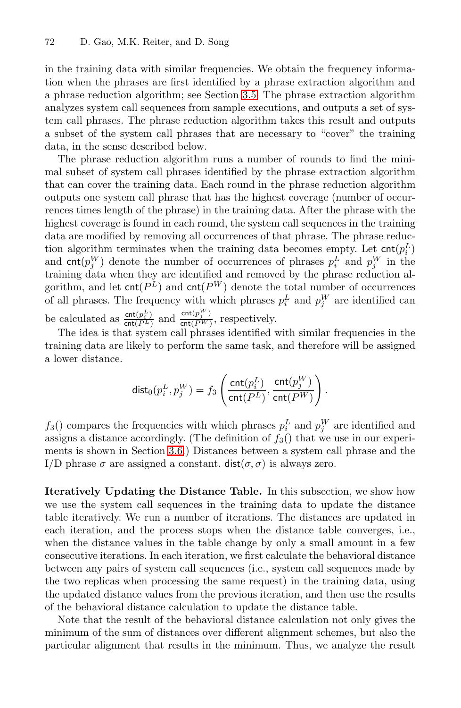in the training data with similar frequencies. We obtain the frequency information when the phrases are first identified by a phrase extraction algorithm and a phrase reduction algorithm; see Section 3.5. The phrase extraction algorithm analyzes system call sequences from sample executions, and outputs a set of system call phrases. The phrase reduction algorithm takes this result and outputs a subset of the system call phrases that are necessary to "cover" the training data, in the sense described below.

The phrase reduction algorithm runs a number of rounds to find the minimal subset of system call phrases identified by the phrase extraction algorithm that can cover the training data. Each round in the phrase reduction algorithm outputs one system call phrase that has the highest coverage (number of occurrences times length of the phrase) in the training data. After the phrase with the highest coverage is found in each round, the system call sequences in the training data are modified by removing all occurrences of that phrase. The phrase reduction algorithm terminates when the training data becomes empty. Let  $\text{cnt}(p_i^L)$ and  $\textsf{cnt}(p_j^W)$  denote the number of occurrences of phrases  $p_i^L$  and  $p_j^W$  in the training data when they are identified and removed by the phrase reduction algorithm, and let  $\mathsf{cnt}(P^L)$  and  $\mathsf{cnt}(P^W)$  denote the total number of occurrences of all phrases. The frequency with which phrases  $p_i^L$  and  $p_j^W$  are identified can be calculated as  $\frac{\text{cnt}(p_i^L)}{\text{cnt}(P^L)}$  and  $\frac{\text{cnt}(p_j^W)}{\text{cnt}(P^W)}$ , respectively.

The idea is that system call phrases identified with similar frequencies in the training data are likely to perform the same task, and therefore will be assigned a lower [dist](#page-11-0)ance.

$$
\operatorname{dist}_0(p_i^L,p_j^W) = f_3\left(\frac{\operatorname{cnt}(p_i^L)}{\operatorname{cnt}(P^L)},\frac{\operatorname{cnt}(p_j^W)}{\operatorname{cnt}(P^W)}\right).
$$

 $f_3()$  compares the frequencies with which phrases  $p_i^L$  and  $p_j^W$  are identified and assigns a distance accordingly. (The definition of  $f_3()$  that we use in our experiments is shown in Section 3.6.) Distances between a system call phrase and the I/D phrase  $\sigma$  are assigned a constant. dist $(\sigma, \sigma)$  is always zero.

**Iteratively Updating the Distance Table.** In this subsection, we show how we use the system call sequences in the training data to update the distance table iteratively. We run a number of iterations. The distances are updated in each iteration, and the process stops when the distance table converges, i.e., when the distance values in the table change by only a small amount in a few consecutive iterations. In each iteration, we first calculate the behavioral distance between any pairs of system call sequences (i.e., system call sequences made by the two replicas when processing the same request) in the training data, using the updated distance values from the previous iteration, and then use the results of the behavioral distance calculation to update the distance table.

Note that the result of the behavioral distance calculation not only gives the minimum of the sum of distances over different alignment schemes, but also the particular alignment that results in the minimum. Thus, we analyze the result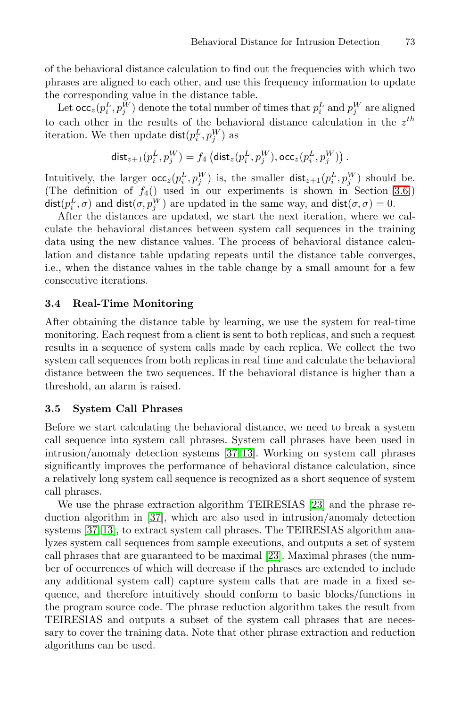of the behavioral distance calculation to find out the frequencies with which two phrases are aligned to each other, and use this frequency information to update the corresponding value in the distance table.

Let  $\operatorname{\mathsf{occ}}_z(p_i^L, p_j^W)$  $\operatorname{\mathsf{occ}}_z(p_i^L, p_j^W)$  $\operatorname{\mathsf{occ}}_z(p_i^L, p_j^W)$  denote the total number of times that  $p_i^L$  and  $p_j^W$  are aligned to each other in the results of the behavioral distance calculation in the  $z^{th}$ iteration. We then update  $\mathsf{dist}(p_i^L, p_j^W)$  as

$$
\mathsf{dist}_{z+1}(p^L_i,p^W_j) = f_4\left(\mathsf{dist}_z(p^L_i,p^W_j), \mathsf{occ}_z(p^L_i,p^W_j)\right).
$$

Intuitively, the larger  $\operatorname{occ}_z(p_i^L, p_j^W)$  is, the smaller  $\operatorname{dist}_{z+1}(p_i^L, p_j^W)$  should be. (The definition of  $f_4$ ) used in our experiments is shown in Section 3.6.)  $\textsf{dist}(p_i^L, \sigma)$  and  $\textsf{dist}(\sigma, p_j^W)$  are updated in the same way, and  $\textsf{dist}(\sigma, \sigma) = 0$ .

After the distances are updated, we start the next iteration, where we calculate the behavioral distances between system call sequences in the training data using the new distance values. The process of behavioral distance calculation and distance table updating repeats until the distance table converges, i.e., when the distance values in the table change by a small amount for a few consecutive iterations.

# <span id="page-10-0"></span>**3.4 Real-Time Monitoring**

After obtaining the distance table by learning, we use the system for real-time monitoring. Each request from a client is sent to both replicas, and such a request results in a sequence of system calls made by each replica. We collect the two system call sequenc[es fr](#page-18-10)[om](#page-17-10) both replicas in real time and calculate the behavioral distance between the two sequences. If the behavioral distance is higher than a threshold, an alarm is raised.

### **3.5 System Call Phrases**

Bef[ore](#page-18-10) we start calculating the behavioral distance, we need to break a system call sequence into system call phrases. System call phrases have been used in intrusion/anomaly detection systems [37,13]. Working on system call phrases significantly improves the p[erfo](#page-18-12)rmance of behavioral distance calculation, since a relatively long system call sequence is recognized as a short sequence of system call phrases.

We use the phrase extraction algorithm TEIRESIAS [23] and the phrase reduction algorithm in [37], which are also used in intrusion/anomaly detection systems [37, 13], to extract system call phrases. The TEIRESIAS algorithm analyzes system call sequences from sample executions, and outputs a set of system call phrases that are guaranteed to be maximal [23]. Maximal phrases (the number of occurrences of which will decrease if the phrases are extended to include any additional system call) capture system calls that are made in a fixed sequence, and therefore intuitively should conform to basic blocks/functions in the program source code. The phrase reduction algorithm takes the result from TEIRESIAS and outputs a subset of the system call phrases that are necessary to cover the training data. Note that other phrase extraction and reduction algorithms can be used.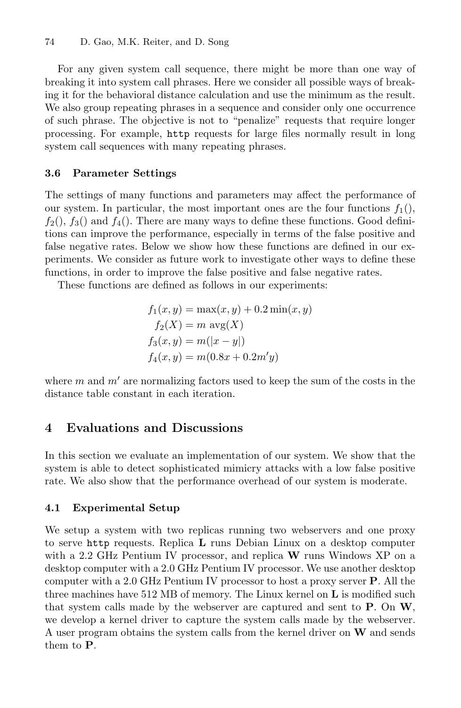For any given system call sequence, there might be more than one way of breaking it into system call phrases. Here we consider all possible ways of breaking it for the behavioral distance calculation and use the minimum as the result. We also group repeating phrases in a sequence and consider only one occurrence of such phrase. The objective is not to "penalize" requests that require longer processing. For example, http requests for large files normally result in long system call sequences with many repeating phrases.

### <span id="page-11-0"></span>**3.6 Parameter Settings**

The settings of many functions and parameters may affect the performance of our system. In particular, the most important ones are the four functions  $f_1()$ ,  $f_2(), f_3()$  and  $f_4().$  There are many ways to define these functions. Good definitions can improve the performance, especially in terms of the false positive and false negative rates. Below we show how these functions are defined in our experiments. We consider as future work to investigate other ways to define these functions, in order to improve the false positive and false negative rates.

These functions are defined as follows in our experiments:

$$
f_1(x, y) = \max(x, y) + 0.2 \min(x, y)
$$
  
\n
$$
f_2(X) = m \arg(X)
$$
  
\n
$$
f_3(x, y) = m(|x - y|)
$$
  
\n
$$
f_4(x, y) = m(0.8x + 0.2m'y)
$$

where m and  $m'$  are normalizing factors used to keep the sum of the costs in the distance table constant in each iteration.

# **4 Evaluations and Discussions**

In this section we evaluate an implementation of our system. We show that the system is able to detect sophisticated mimicry attacks with a low false positive rate. We also show that the performance overhead of our system is moderate.

## <span id="page-11-1"></span>**4.1 Experimental Setup**

We setup a system with two replicas running two webservers and one proxy to serve http requests. Replica **L** runs Debian Linux on a desktop computer with a 2.2 GHz Pentium IV processor, and replica **W** runs Windows XP on a desktop computer with a 2.0 GHz Pentium IV processor. We use another desktop computer with a 2.0 GHz Pentium IV processor to host a proxy server **P**. All the three machines have 512 MB of memory. The Linux kernel on **L** is modified such that system calls made by the webserver are captured and sent to **P**. On **W**, we develop a kernel driver to capture the system calls made by the webserver. A user program obtains the system calls from the kernel driver on **W** and sends them to **P**.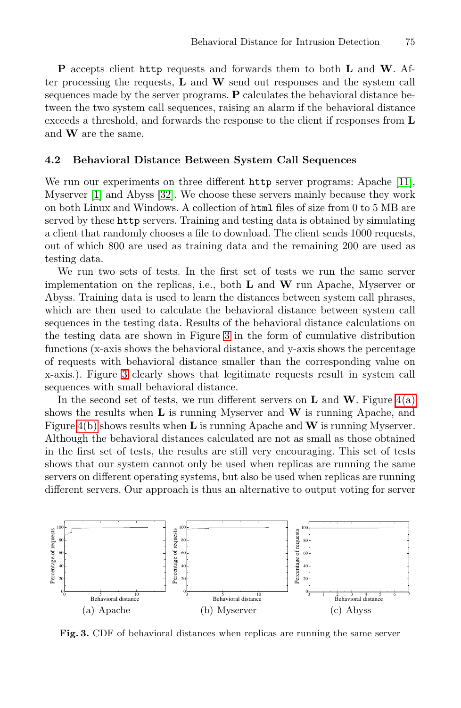<span id="page-12-1"></span>**P** accepts client http requests and forwards them to both **L** and **W**. After processing the requests, **L** and **W** send out responses and the system call sequences made by the server programs. **P** calculates the [beh](#page-17-14)avioral distance betwee[n](#page-18-13) [th](#page-18-13)e two system call sequences, raising an alarm if the behavioral distance exceeds a threshold, and forwards the response to the client if responses from **L** and **W** are the same.

### **4.2 Behavioral Distance Between System Call Sequences**

We run our experiments on three different **http** server programs: Apache [11], Myserver [1] and Abyss [32]. We choose these servers mainly because they work on both Linux and Windows. A collection of html files of size from 0 to 5 MB are served by these http servers. Training and testing data is obtained by simulating a client that randomly chooses a file to download. The client sends 1000 requests, out of which 800 a[re](#page-12-0) used as training data and the remaining 200 are used as testing data.

We run two sets of tests. In the first set of tests we run the same server implementation on the replicas, i.e., both **L** and **W** run Apache, Myserver or Abyss. Training data is used to learn the distances between system call phrases, which are then used to calculate the behavioral distan[ce be](#page-13-0)tween system call sequences in the testing data. Results of the behavioral distance calculations on the testing data are shown in Figure 3 in the form of cumulative distribution functions (x-axis shows the behavioral distance, and y-axis shows the percentage of requests with behavioral distance smaller than the corresponding value on x-axis.). Figure 3 clearly shows that legitimate requests result in system call sequences with small behavioral distance.

In the second set of tests, we run different servers on **L** and **W**. Figure  $4(a)$ shows the results when **L** is running Myserver and **W** is running Apache, and Figure 4(b) shows results when **L** is running Apache and **W** is running Myserver. Although the behavioral distances calculated are not as small as those obtained in the first set of tests, the results are still very encouraging. This set of tests shows that our system cannot only be used when replicas are running the same servers on different operating systems, but also be used when replicas are running different servers. Our approach is thus an alternative to output voting for server

<span id="page-12-0"></span>

**Fig. 3.** CDF of behavioral distances when replicas are running the same server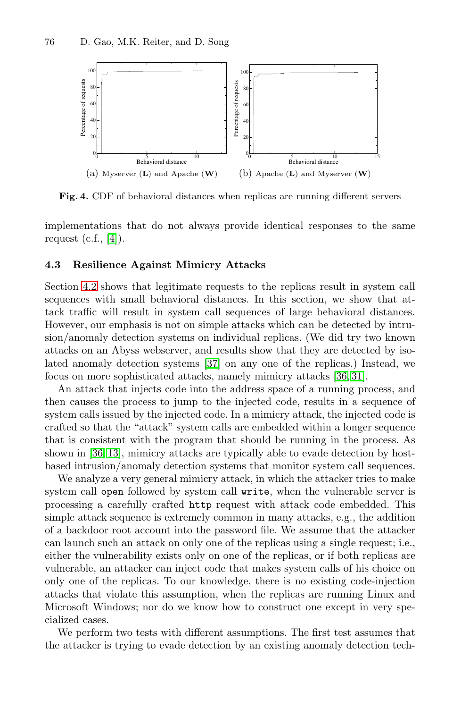<span id="page-13-0"></span>

**Fig. 4.** CDF of behavioral distances when replicas are running different servers

<span id="page-13-1"></span>implementations that do not always provide identical responses to the same request  $(c.f., [4])$ .

### **4.3 Resilien[ce](#page-18-10) Against Mimicry Attacks**

Section 4.2 shows that legitimate requests [to](#page-18-1) [the](#page-18-2) replicas result in system call sequences with small behavioral distances. In this section, we show that attack traffic will result in system call sequences of large behavioral distances. However, our emphasis is not on simple attacks which can be detected by intrusion/anomaly detection systems on individual replicas. (We did try two known attacks on an Abyss webserver, and results show that they are detected by isolated anomaly detection systems [37] on any one of the replicas.) Instead, we focus on more sophisticated attacks, namely mimicry attacks [36, 31].

An attack that injects code into the address space of a running process, and then causes the process to jump to the injected code, results in a sequence of system calls issued by the injected code. In a mimicry attack, the injected code is crafted so that the "attack" system calls are embedded within a longer sequence that is consistent with the program that should be running in the process. As shown in [36, 13], mimicry attacks are typically able to evade detection by hostbased intrusion/anomaly detection systems that monitor system call sequences.

We analyze a very general mimicry attack, in which the attacker tries to make system call open followed by system call write, when the vulnerable server is processing a carefully crafted http request with attack code embedded. This simple attack sequence is extremely common in many attacks, e.g., the addition of a backdoor root account into the password file. We assume that the attacker can launch such an attack on only one of the replicas using a single request; i.e., either the vulnerability exists only on one of the replicas, or if both replicas are vulnerable, an attacker can inject code that makes system calls of his choice on only one of the replicas. To our knowledge, there is no existing code-injection attacks that violate this assumption, when the replicas are running Linux and Microsoft Windows; nor do we know how to construct one except in very specialized cases.

We perform two tests with different assumptions. The first test assumes that the attacker is trying to evade detection by an existing anomaly detection tech-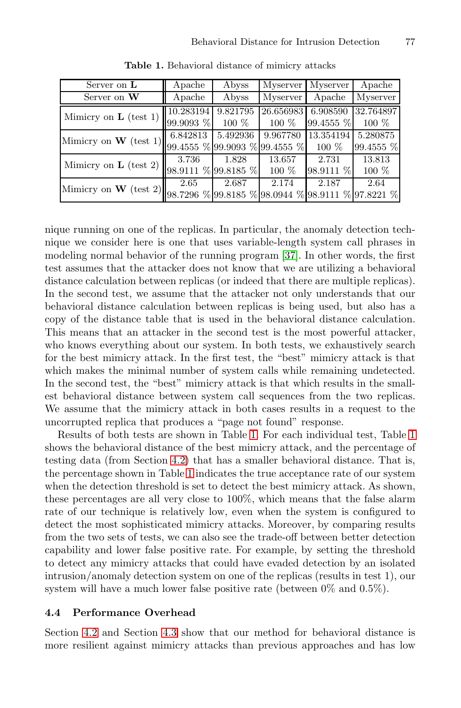<span id="page-14-0"></span>

| Server on L                                                                                                                       | Apache              | Abyss    | Myserver  | Myserver  | Apache    |
|-----------------------------------------------------------------------------------------------------------------------------------|---------------------|----------|-----------|-----------|-----------|
| Server on $W$                                                                                                                     | Apache              | Abyss    | Myserver  | Apache    | Myserver  |
| Mimicry on $L$ (test 1)                                                                                                           | 10.283194           | 9.821795 | 26.656983 | 6.908590  | 32.764897 |
|                                                                                                                                   | 99.9093 %           | $100\%$  | $100\%$   | 99.4555 % | $100\%$   |
| Mimicry on <b>W</b> (test 1) $\begin{bmatrix} 6.842813 & 5.492936 & 9.967780 \\ 99.4555 & 899.9093 & 89.904555 & 8 \end{bmatrix}$ |                     |          |           | 13.354194 | 5.280875  |
|                                                                                                                                   |                     |          |           | $100\%$   | 99.4555 % |
| Mimicry on $L$ (test 2)                                                                                                           | 3.736               | 1.828    | 13.657    | 2.731     | 13.813    |
|                                                                                                                                   | 98.9111 % 99.8185 % |          | $100\%$   | 98.9111 % | $100\%$   |
| Mimicry on W (test 2) 98.7296 % 99.8185 % 98.0944 % 98.9111 % 97.8221 %                                                           | 2.65                | 2.687    | 2.174     | 2.187     | 2.64      |
|                                                                                                                                   |                     |          |           |           |           |

**Table 1.** Behavioral distance of mimicry attacks

nique running on one of the replicas. In particular, the anomaly detection technique we consider here is one that uses variable-length system call phrases in modeling normal behavior of the running program [37]. In other words, the first test assumes that the attacker does not know that we are utilizing a behavioral distance calculation between replicas (or indeed that there are multiple replicas). In the second test, we assume that the attacker not only understands that our behavioral distance calculation between replicas is being used, but also has a copy of the distance table that is used in the behavioral distance calculation. This means that an attacker in the second test is the most powerful attacker, who knows everything a[bo](#page-14-0)ut our system. In both tests, w[e e](#page-14-0)xhaustively search for the best mimicry attack. In the first test, the "best" mimicry attack is that which [make](#page-12-1)s the minimal number of system calls while remaining undetected. In the seco[nd](#page-14-0) test, the "best" mimicry attack is that which results in the smallest behavioral distance between system call sequences from the two replicas. We assume that the mimicry attack in both cases results in a request to the uncorrupted replica that produces a "page not found" response.

Results of both tests are shown in Table 1. For each individual test, Table 1 shows the behavioral distance of the best mimicry attack, and the percentage of testing data (from Section 4.2) that has a smaller behavioral distance. That is, the percentage shown in Table 1 indicates the true acceptance rate of our system when the detection threshold is set to detect the best mimicry attack. As shown, these percentages are all very close to 100%, which means that the false alarm rate of our technique is relatively low, even when the system is configured to detect the most sophisticated mimicry attacks. Moreover, by comparing results from [the t](#page-13-1)wo sets of tests, we can also see the trade-off between better detection capability and lower false positive rate. For example, by setting the threshold to detect any mimicry attacks that could have evaded detection by an isolated intrusion/anomaly detection system on one of the replicas (results in test 1), our system will have a much lower false positive rate (between 0% and 0.5%).

### **4.4 Performance Overhead**

Section 4.2 and Section 4.3 show that our method for behavioral distance is more resilient against mimicry attacks than previous approaches and has low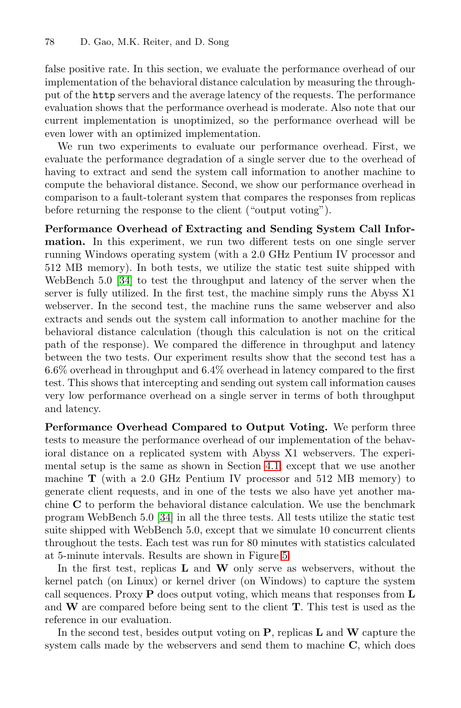false positive rate. In this section, we evaluate the performance overhead of our implementation of the behavioral distance calculation by measuring the throughput of the http servers and the average latency of the requests. The performance evaluation shows that the performance overhead is moderate. Also note that our current implementation is unoptimized, so the performance overhead will be even lower with an optimized implementation.

We run two experiments to evaluate our performance overhead. First, we evaluate the performance degradation of a single server due to the overhead of having to extract and send the system call information to another machine to compute the behavioral distance. Second, we show our performance overhead in comparison to a fault-tolerant system that compares the responses from replicas before returning the response to the client ("output voting").

**Performance Overhead of Extracting and Sending System Call Information.** In this experiment, we run two different tests on one single server running Windows operating system (with a 2.0 GHz Pentium IV processor and 512 MB memory). In both tests, we utilize the static test suite shipped with WebBench 5.0 [34] to test the throughput and latency of the server when the server is fully utilized. In the first test, the machine simply runs the Abyss X1 webserver. In the second test, the machine runs the same webserver and also extracts and sends out the system call information to another machine for the behavioral distance calculation (though this calculation is not on the critical path of the response). We compared the difference in throughput and latency between the two tests. Our experiment results show that the second test has a 6.6% overhead in throughpu[t an](#page-11-1)d 6.4% overhead in latency compared to the first test. This shows that intercepting and sending out system call information causes very low performance overhead on a single server in terms of both throughput and latency.

**Perf[orm](#page-18-14)ance Overhead Compared to Output Voting.** We perform three tests to measure the performance overhead of our implementation of the behavioral distance on a replicated system with Abyss X1 webservers. The experimental setup is the same as sh[ow](#page-16-0)n in Section 4.1, except that we use another machine **T** (with a 2.0 GHz Pentium IV processor and 512 MB memory) to generate client requests, and in one of the tests we also have yet another machine **C** to perform the behavioral distance calculation. We use the benchmark program WebBench 5.0 [34] in all the three tests. All tests utilize the static test suite shipped with WebBench 5.0, except that we simulate 10 concurrent clients throughout the tests. Each test was run for 80 minutes with statistics calculated at 5-minute intervals. Results are shown in Figure 5.

In the first test, replicas **L** and **W** only serve as webservers, without the kernel patch (on Linux) or kernel driver (on Windows) to capture the system call sequences. Proxy **P** does output voting, which means that responses from **L** and **W** are compared before being sent to the client **T**. This test is used as the reference in our evaluation.

In the second test, besides output voting on **P**, replicas **L** and **W** capture the system calls made by the webservers and send them to machine **C**, which does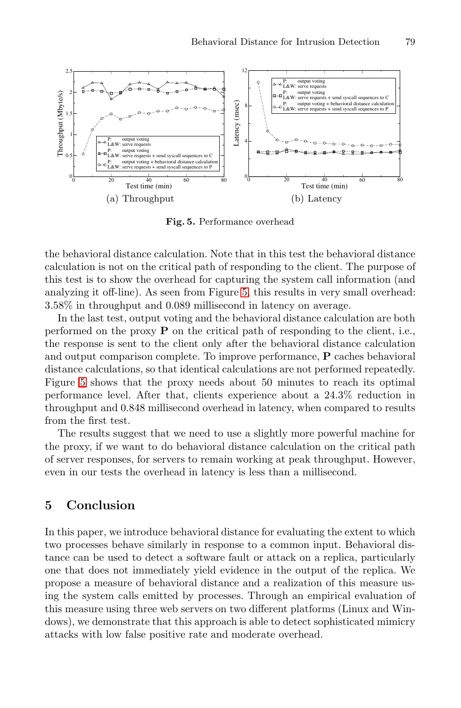<span id="page-16-0"></span>

**Fig. 5.** Performance overhead

the behavioral distance calculation. Note that in this test the behavioral distance calculation is not on the critical path of responding to the client. The purpose of this test is to show the overhead for capturing the system call information (and analyzing it off-line). As seen from Figure 5, this results in very small overhead: 3.58% in throughput and 0.089 millisecond in latency on average.

In the last test, output voting and the behavioral distance calculation are both performed on the proxy **P** on the critical path of responding to the client, i.e., the response is sent to the client only after the behavioral distance calculation and output comparison complete. To improve performance, **P** caches behavioral distance calculations, so that identical calculations are not performed repeatedly. Figure 5 shows that the proxy needs about 50 minutes to reach its optimal performance level. After that, clients experience about a 24.3% reduction in throughput and 0.848 millisecond overhead in latency, when compared to results from the first test.

The results suggest that we need to use a slightly more powerful machine for the proxy, if we want to do behavioral distance calculation on the critical path of server responses, for servers to remain working at peak throughput. However, even in our tests the overhead in latency is less than a millisecond.

# **5 Conclusion**

In this paper, we introduce behavioral distance for evaluating the extent to which two processes behave similarly in response to a common input. Behavioral distance can be used to detect a software fault or attack on a replica, particularly one that does not immediately yield evidence in the output of the replica. We propose a measure of behavioral distance and a realization of this measure using the system calls emitted by processes. Through an empirical evaluation of this measure using three web servers on two different platforms (Linux and Windows), we demonstrate that this approach is able to detect sophisticated mimicry attacks with low false positive rate and moderate overhead.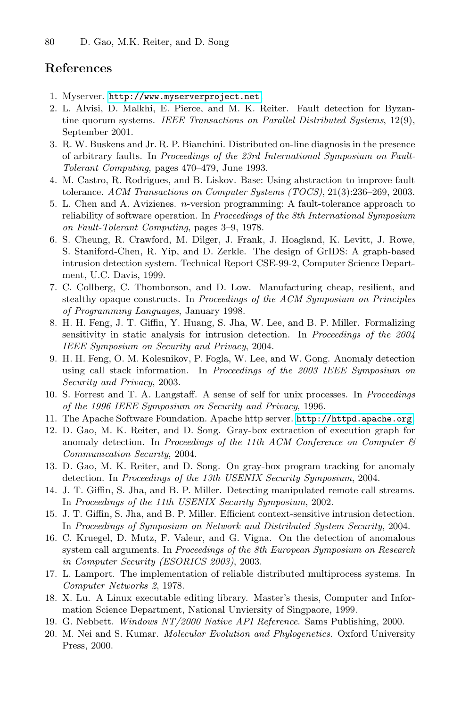# <span id="page-17-5"></span><span id="page-17-3"></span><span id="page-17-2"></span>**References**

- 1. Myserver. http://www.myserverproject.net.
- 2. L. Alvisi, D. Malkhi, E. Pierce, and M. K. Reiter. Fault detection for Byzantine quorum systems. IEEE Transactions on Parallel Distributed Systems, 12(9), September 2001.
- 3. R. W. Buskens and Jr. R. P. Bianchini. Distributed on-line diagnosis in the presence of arbitrary faults. In Proceedings of the 23rd International Symposium on Fault-Tolerant Computing, pages 470–479, June 1993.
- 4. M. Castro, R. Rodrigues, and B. Liskov. Base: Using abstraction to improve fault tolerance. ACM Transactions on Computer Systems (TOCS), 21(3):236–269, 2003.
- <span id="page-17-9"></span>5. L. Chen and A. Avizienes. n-version programming: A fault-tolerance approach to reliability of software operation. In Proceedings of the 8th International Symposium on Fault-Tolerant Computing, pages 3–9, 1978.
- <span id="page-17-8"></span>6. S. Cheung, R. Crawford, M. Dilger, J. Frank, J. Hoagland, K. Levitt, J. Rowe, S. Staniford-Chen, R. Yip, and D. Zerkle. The design of GrIDS: A graph-based intrusion detection system. Technical Report CSE-99-2, Computer Science Department, U.C. Davis, 1999.
- <span id="page-17-7"></span>7. C. Collberg, C. Thomborson, and D. Low. Manufacturing cheap, resilient, and stealthy opaque constructs. In Proceedings of the ACM Symposium on Principles of Programming Languages, January 1998.
- <span id="page-17-14"></span><span id="page-17-11"></span>8. H. H. Feng, J. T. Giffin, Y. Huan[g, S. Jha, W. Lee, and B. P](http://httpd.apache.org). Miller. Formalizing sensitivity in static analysis for intrusion detection. In Proceedings of the 2004 IEEE Symposium on Security and Privacy, 2004.
- <span id="page-17-10"></span>9. H. H. Feng, O. M. Kolesnikov, P. Fogla, W. Lee, and W. Gong. Anomaly detection using call stack information. In Proceedings of the 2003 IEEE Symposium on Security and Privacy, 2003.
- <span id="page-17-0"></span>10. S. Forrest and T. A. Langstaff. A sense of self for unix processes. In Proceedings of the 1996 IEEE Symposium on Security and Privacy, 1996.
- <span id="page-17-1"></span>11. The Apache Software Foundation. Apache http server. http://httpd.apache.org.
- <span id="page-17-12"></span>12. D. Gao, M. K. Reiter, and D. Song. Gray-box extraction of execution graph for anomaly detection. In Proceedings of the 11th ACM Conference on Computer  $\mathcal{B}$ Communication Security, 2004.
- <span id="page-17-4"></span>13. D. Gao, M. K. Reiter, and D. Song. On gray-box program tracking for anomaly detection. In Proceedings of the 13th USENIX Security Symposium, 2004.
- 14. J. T. Giffin, S. Jha, and B. P. Miller. Detecting manipulated remote call streams. In Proceedings of the 11th USENIX Security Symposium, 2002.
- <span id="page-17-6"></span>15. J. T. Giffin, S. Jha, and B. P. Miller. Efficient context-sensitive intrusion detection. In Proceedings of Symposium on Network and Distributed System Security, 2004.
- <span id="page-17-13"></span>16. C. Kruegel, D. Mutz, F. Valeur, and G. Vigna. On the detection of anomalous system call arguments. In Proceedings of the 8th European Symposium on Research in Computer Security (ESORICS 2003), 2003.
- 17. L. Lamport. The implementation of reliable distributed multiprocess systems. In Computer Networks 2, 1978.
- 18. X. Lu. A Linux executable editing library. Master's thesis, Computer and Information Science Department, National Unviersity of Singpaore, 1999.
- 19. G. Nebbett. Windows NT/2000 Native API Reference. Sams Publishing, 2000.
- 20. M. Nei and S. Kumar. Molecular Evolution and Phylogenetics. Oxford University Press, 2000.